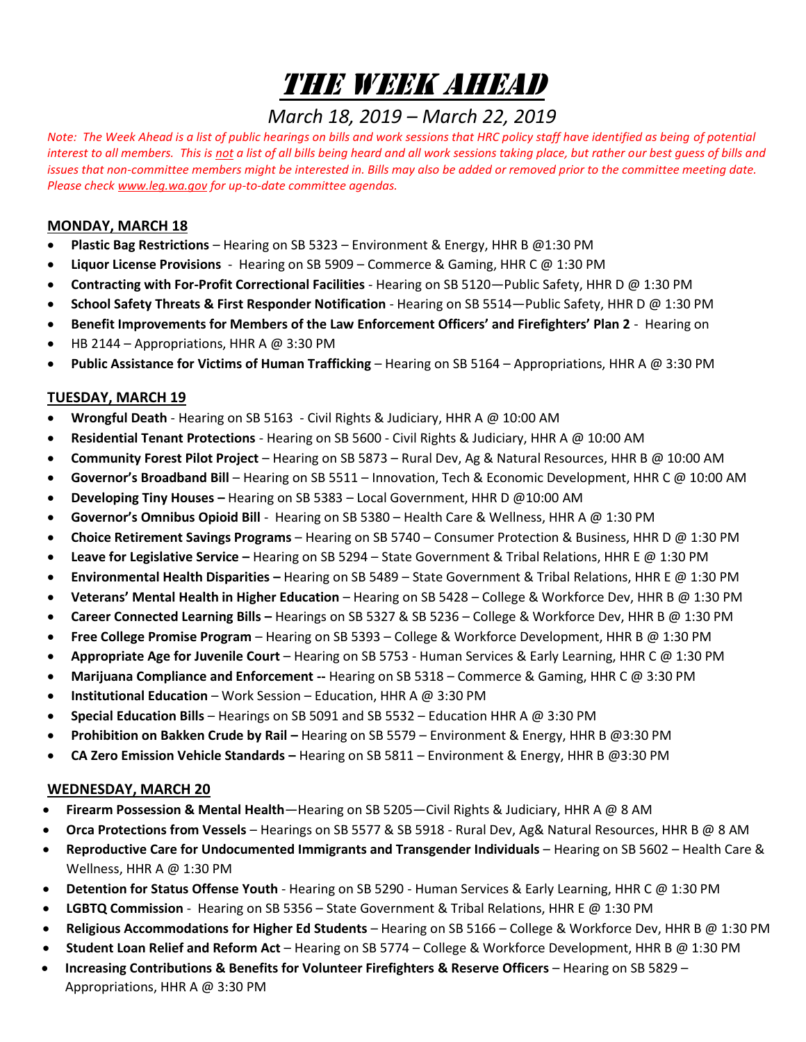# The Week Ahead

# *March 18, 2019 – March 22, 2019*

*Note: The Week Ahead is a list of public hearings on bills and work sessions that HRC policy staff have identified as being of potential interest to all members. This is not a list of all bills being heard and all work sessions taking place, but rather our best guess of bills and issues that non-committee members might be interested in. Bills may also be added or removed prior to the committee meeting date. Please chec[k www.leg.wa.gov](http://www.leg.wa.gov/) for up-to-date committee agendas.* 

### **MONDAY, MARCH 18**

- **Plastic Bag Restrictions** Hearing on SB 5323 Environment & Energy, HHR B @1:30 PM
- **Liquor License Provisions**  Hearing on SB 5909 Commerce & Gaming, HHR C @ 1:30 PM
- **Contracting with For-Profit Correctional Facilities** Hearing on SB 5120—Public Safety, HHR D @ 1:30 PM
- **School Safety Threats & First Responder Notification** Hearing on SB 5514—Public Safety, HHR D @ 1:30 PM
- **Benefit Improvements for Members of the Law Enforcement Officers' and Firefighters' Plan 2** Hearing on
- HB 2144 Appropriations, HHR A  $\omega$  3:30 PM
- **Public Assistance for Victims of Human Trafficking** Hearing on SB 5164 Appropriations, HHR A @ 3:30 PM

# **TUESDAY, MARCH 19**

- **Wrongful Death** Hearing on SB 5163 Civil Rights & Judiciary, HHR A @ 10:00 AM
- **Residential Tenant Protections** Hearing on SB 5600 Civil Rights & Judiciary, HHR A @ 10:00 AM
- **Community Forest Pilot Project** Hearing on SB 5873 Rural Dev, Ag & Natural Resources, HHR B @ 10:00 AM
- **Governor's Broadband Bill** Hearing on SB 5511 Innovation, Tech & Economic Development, HHR C @ 10:00 AM
- **Developing Tiny Houses –** Hearing on SB 5383 Local Government, HHR D @10:00 AM
- **Governor's Omnibus Opioid Bill** Hearing on SB 5380 Health Care & Wellness, HHR A @ 1:30 PM
- **Choice Retirement Savings Programs** Hearing on SB 5740 Consumer Protection & Business, HHR D @ 1:30 PM
- **Leave for Legislative Service –** Hearing on SB 5294 State Government & Tribal Relations, HHR E @ 1:30 PM
- **Environmental Health Disparities –** Hearing on SB 5489 State Government & Tribal Relations, HHR E @ 1:30 PM
- **Veterans' Mental Health in Higher Education** Hearing on SB 5428 College & Workforce Dev, HHR B @ 1:30 PM
- **Career Connected Learning Bills –** Hearings on SB 5327 & SB 5236 College & Workforce Dev, HHR B @ 1:30 PM
- **Free College Promise Program** Hearing on SB 5393 College & Workforce Development, HHR B @ 1:30 PM
- **Appropriate Age for Juvenile Court** Hearing on SB 5753 Human Services & Early Learning, HHR C @ 1:30 PM
- **Marijuana Compliance and Enforcement --** Hearing on SB 5318 Commerce & Gaming, HHR C @ 3:30 PM
- **Institutional Education** Work Session Education, HHR A @ 3:30 PM
- **Special Education Bills** Hearings on SB 5091 and SB 5532 Education HHR A @ 3:30 PM
- **Prohibition on Bakken Crude by Rail –** Hearing on SB 5579 Environment & Energy, HHR B @3:30 PM
- **CA Zero Emission Vehicle Standards –** Hearing on SB 5811 Environment & Energy, HHR B @3:30 PM

# **WEDNESDAY, MARCH 20**

- **Firearm Possession & Mental Health**—Hearing on SB 5205—Civil Rights & Judiciary, HHR A @ 8 AM
- **Orca Protections from Vessels** Hearings on SB 5577 & SB 5918 Rural Dev, Ag& Natural Resources, HHR B @ 8 AM
- **Reproductive Care for Undocumented Immigrants and Transgender Individuals** Hearing on SB 5602 Health Care & Wellness, HHR A @ 1:30 PM
- **Detention for Status Offense Youth**  Hearing on SB 5290 Human Services & Early Learning, HHR C @ 1:30 PM
- **LGBTQ Commission**  Hearing on SB 5356 State Government & Tribal Relations, HHR E @ 1:30 PM
- **Religious Accommodations for Higher Ed Students** Hearing on SB 5166 College & Workforce Dev, HHR B @ 1:30 PM
- **Student Loan Relief and Reform Act** Hearing on SB 5774 College & Workforce Development, HHR B @ 1:30 PM
- **Increasing Contributions & Benefits for Volunteer Firefighters & Reserve Officers**  Hearing on SB 5829 Appropriations, HHR A @ 3:30 PM